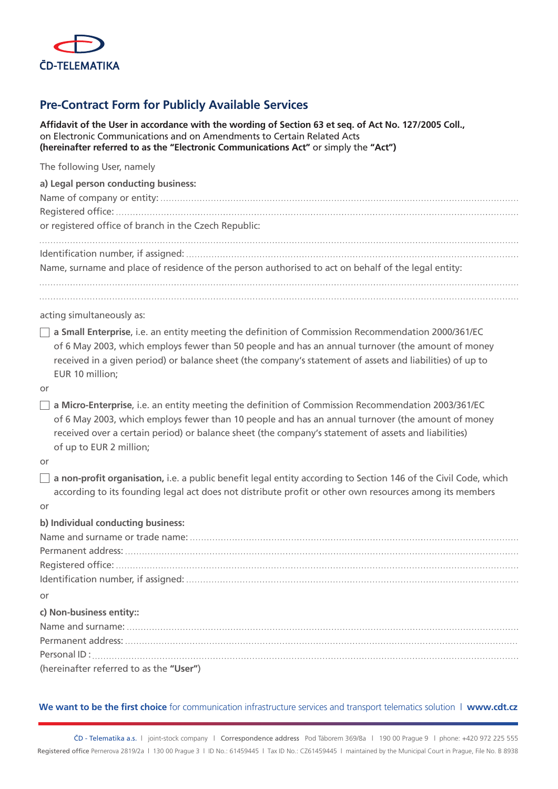

## **Pre-Contract Form for Publicly Available Services**

**Affidavit of the User in accordance with the wording of Section 63 et seq. of Act No. 127/2005 Coll.,**  on Electronic Communications and on Amendments to Certain Related Acts **(hereinafter referred to as the "Electronic Communications Act"** or simply the **"Act")**

| The following User, namely<br>a) Legal person conducting business:<br>or registered office of branch in the Czech Republic:<br>Name, surname and place of residence of the person authorised to act on behalf of the legal entity:                                                                                                                |
|---------------------------------------------------------------------------------------------------------------------------------------------------------------------------------------------------------------------------------------------------------------------------------------------------------------------------------------------------|
| acting simultaneously as:                                                                                                                                                                                                                                                                                                                         |
| a Small Enterprise, i.e. an entity meeting the definition of Commission Recommendation 2000/361/EC<br>of 6 May 2003, which employs fewer than 50 people and has an annual turnover (the amount of money<br>received in a given period) or balance sheet (the company's statement of assets and liabilities) of up to<br>EUR 10 million;           |
| or                                                                                                                                                                                                                                                                                                                                                |
| $\Box$ a Micro-Enterprise, i.e. an entity meeting the definition of Commission Recommendation 2003/361/EC<br>of 6 May 2003, which employs fewer than 10 people and has an annual turnover (the amount of money<br>received over a certain period) or balance sheet (the company's statement of assets and liabilities)<br>of up to EUR 2 million; |
| or                                                                                                                                                                                                                                                                                                                                                |
| $\Box$ a non-profit organisation, i.e. a public benefit legal entity according to Section 146 of the Civil Code, which<br>according to its founding legal act does not distribute profit or other own resources among its members<br>or                                                                                                           |
| b) Individual conducting business:                                                                                                                                                                                                                                                                                                                |
|                                                                                                                                                                                                                                                                                                                                                   |
|                                                                                                                                                                                                                                                                                                                                                   |
|                                                                                                                                                                                                                                                                                                                                                   |
|                                                                                                                                                                                                                                                                                                                                                   |
| or                                                                                                                                                                                                                                                                                                                                                |
| c) Non-business entity::                                                                                                                                                                                                                                                                                                                          |
|                                                                                                                                                                                                                                                                                                                                                   |
|                                                                                                                                                                                                                                                                                                                                                   |
|                                                                                                                                                                                                                                                                                                                                                   |
| (hereinafter referred to as the "User")                                                                                                                                                                                                                                                                                                           |

## We want to be the first choice for communication infrastructure services and transport telematics solution | www.cdt.cz